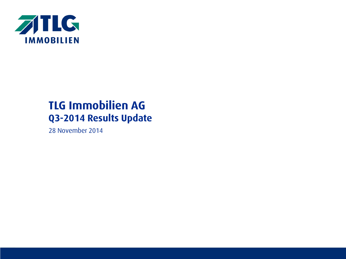

# **TLG Immobilien AG Q3-2014 Results Update**

28 November 2014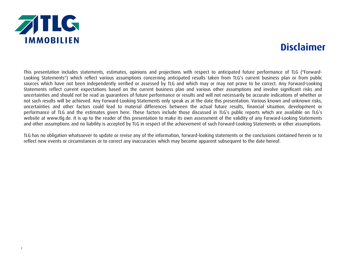

### **Disclaimer**

This presentation includes statements, estimates, opinions and projections with respect to anticipated future performance of TLG ("Forward-Looking Statements") which reflect various assumptions concerning anticipated results taken from TLG's current business plan or from public sources which have not been independently verified or assessed by TLG and which may or may not prove to be correct. Any Forward-Looking Statements reflect current expectations based on the current business plan and various other assumptions and involve significant risks and uncertainties and should not be read as guarantees of future performance or results and will not necessarily be accurate indications of whether or not such results will be achieved. Any Forward-Looking Statements only speak as at the date this presentation. Various known and unknown risks, uncertainties and other factors could lead to material differences between the actual future results, financial situation, development or performance of TLG and the estimates given here. These factors include those discussed in TLG's public reports which are available on TLG's website at www.tlg.de. It is up to the reader of this presentation to make its own assessment of the validity of any Forward-Looking Statements and other assumptions and no liability is accepted by TLG in respect of the achievement of such Forward-Looking Statements or other assumptions.

TLG has no obligation whatsoever to update or revise any of the information, forward-looking statements or the conclusions contained herein or to reflect new events or circumstances or to correct any inaccuracies which may become apparent subsequent to the date hereof.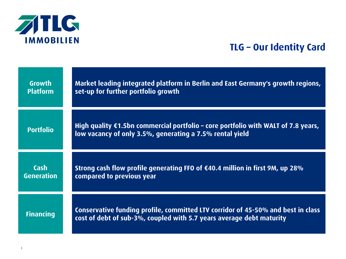

## **TLG – Our Identity Card**

| Growth            | Market leading integrated platform in Berlin and East Germany's growth regions,                                                                          |
|-------------------|----------------------------------------------------------------------------------------------------------------------------------------------------------|
| <b>Platform</b>   | set-up for further portfolio growth                                                                                                                      |
| <b>Portfolio</b>  | High quality $\epsilon$ 1.5bn commercial portfolio – core portfolio with WALT of 7.8 years,<br>low vacancy of only 3.5%, generating a 7.5% rental yield  |
| Cash              | Strong cash flow profile generating FFO of $£40.4$ million in first 9M, up 28%                                                                           |
| <b>Generation</b> | compared to previous year                                                                                                                                |
| <b>Financing</b>  | Conservative funding profile, committed LTV corridor of 45-50% and best in class<br>cost of debt of sub-3%, coupled with 5.7 years average debt maturity |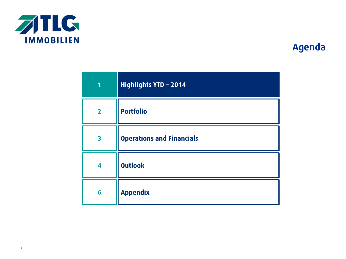

| 1              | <b>Highlights YTD - 2014</b>     |
|----------------|----------------------------------|
| $\overline{2}$ | <b>Portfolio</b>                 |
| 3              | <b>Operations and Financials</b> |
| 4              | <b>Outlook</b>                   |
| 6              | <b>Appendix</b>                  |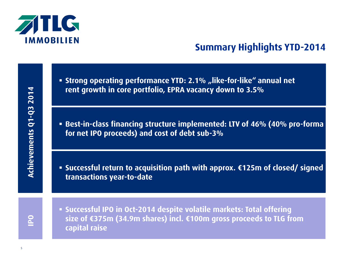

## **Summary Highlights YTD-2014**

- **Extrong operating performance YTD: 2.1% "like-for-like" annual net rent growth in core portfolio, EPRA vacancy down to 3.5%**
- **Best-in-class financing structure implemented: LTV of 46% (40% pro-forma for net IPO proceeds) and cost of debt sub-3%**
- **Successful return to acquisition path with approx. €125m of closed/ signed transactions year-to-date**

**IPO**

 **Successful IPO in Oct-2014 despite volatile markets: Total offering size of €375m (34.9m shares) incl. €100m gross proceeds to TLG from capital raise**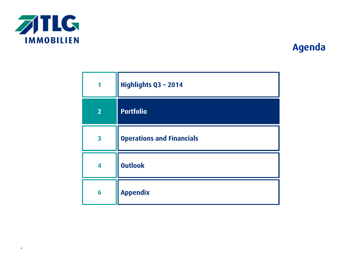

| 1                       | Highlights Q3 - 2014             |
|-------------------------|----------------------------------|
| $\overline{2}$          | <b>Portfolio</b>                 |
| $\overline{\mathbf{3}}$ | <b>Operations and Financials</b> |
| 4                       | <b>Outlook</b>                   |
| 6                       | <b>Appendix</b>                  |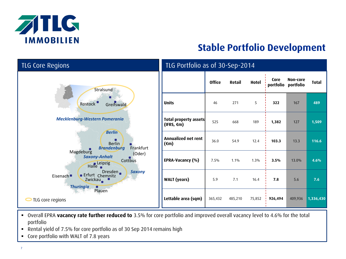

# **Stable Portfolio Development**

| <b>TLG Core Regions</b>                                                                                                                                                                                                                                                                                                   | TLG Portfolio as of 30-Sep-2014                      |               |         |        |         |                                 |              |
|---------------------------------------------------------------------------------------------------------------------------------------------------------------------------------------------------------------------------------------------------------------------------------------------------------------------------|------------------------------------------------------|---------------|---------|--------|---------|---------------------------------|--------------|
| Stralsund                                                                                                                                                                                                                                                                                                                 |                                                      | <b>Office</b> | Retail  | Hotel  | Core    | Non-core<br>portfolio portfolio | <b>Total</b> |
| $\bullet$<br>Rostock<br>Greifswald                                                                                                                                                                                                                                                                                        | <b>Units</b>                                         | 46            | 271     | 5      | 322     | 167                             | 489          |
| <b>Mecklenburg-Western Pomerania</b><br><b>Berlin</b><br>■<br><b>Berlin</b><br>Frankfurt<br><b>Brandenburg</b><br>$\blacksquare$<br>Magdeburg<br>(Oder)<br><b>Saxony-Anhalt</b><br>Cottbus<br>Halle eipzig<br>Dresden.<br><b>Saxony</b><br><b>Erfurt</b> Chemnitz<br>Eisenach <sup>®</sup><br>Zwickau<br><b>Thuringia</b> | <b>Total property assets</b><br>$(IFRS, \epsilon m)$ | 525           | 668     | 189    | 1,382   | 127                             | 1,509        |
|                                                                                                                                                                                                                                                                                                                           | Annualized net rent<br>$(\epsilon m)$                | 36.0          | 54.9    | 12.4   | 103.3   | 13.3                            | 116.6        |
|                                                                                                                                                                                                                                                                                                                           | EPRA-Vacancy (%)                                     | 7.5%          | 1.1%    | 1.3%   | 3.5%    | 13.0%                           | 4.6%         |
|                                                                                                                                                                                                                                                                                                                           | <b>WALT</b> (years)                                  | 5.9           | 7.1     | 16.4   | 7.8     | 5.6                             | 7.6          |
| Plauen<br>TLG core regions                                                                                                                                                                                                                                                                                                | Lettable area (sqm)                                  | 365,432       | 485,210 | 75,852 | 926,494 | 409,936                         | 1,336,430    |

- Overall EPRA **vacancy rate further reduced to** 3.5% for core portfolio and improved overall vacancy level to 4.6% for the total portfolio
- Rental yield of 7.5% for core portfolio as of 30 Sep 2014 remains high
- Core portfolio with WALT of 7.8 years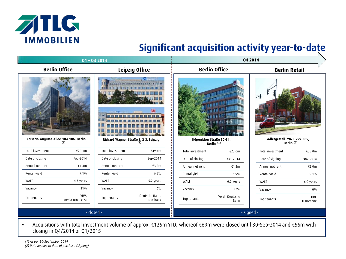

# **Significant acquisition activity year-to-date**

| Q1-Q3 2014                             |                         |                                       |                            |                      |                          | Q4 2014                     |                     |
|----------------------------------------|-------------------------|---------------------------------------|----------------------------|----------------------|--------------------------|-----------------------------|---------------------|
| <b>Berlin Office</b>                   |                         |                                       | Leipzig Office             | <b>Berlin Office</b> |                          | <b>Berlin Retail</b>        |                     |
| Kaiserin-Augusta-Allee 104-106, Berlin |                         | Richard-Wagner-Straße 1, 2-3, Leipzig | w<br>D <sub>B</sub>        |                      | Köpenicker Straße 30-31, | Adlergestell 296 + 299-305, |                     |
| (1)                                    |                         |                                       |                            |                      | Berlin <sup>(1)</sup>    |                             | Berlin $(2)$        |
| Total investment                       | €20.1m                  | <b>Total investment</b>               | €49.4m                     | Total investment     | €23.0m                   | Total investment            | €33.0m              |
| Date of closing                        | Feb-2014                | Date of closing                       | Sep-2014                   | Date of closing      | Oct-2014                 | Date of signing             | Nov-2014            |
| Annual net rent                        | €1.4 $m$                | Annual net rent                       | €3.2 $m$                   | Annual net rent      | €1.3 $m$                 | Annual net rent             | €3.0m               |
| Rental yield                           | $7.1\%$                 | Rental yield                          | 6.3%                       | Rental yield         | 5.9%                     | Rental yield                | $9.1\%$             |
| WALT                                   | 4.3 years               | WALT                                  | 5.2 years                  | WALT                 | 6.5 years                | WALT                        | 6.0 years           |
| Vacancy                                | 11%                     | Vacancy                               | 6%                         | Vacancy              | 12%                      | Vacancy                     | 0%                  |
| Top tenants                            | VHV,<br>Media Broadcast | Top tenants                           | Deutsche Bahn,<br>apo-bank | Top tenants          | Verdi, Deutsche<br>Bahn  | Top tenants                 | OBI,<br>POCO Domäne |
|                                        | - closed -              |                                       |                            |                      |                          | - signed -                  |                     |

 Acquisitions with total investment volume of approx. €125m YTD, whereof €69m were closed until 30-Sep-2014 and €56m with closing in Q4/2014 or Q1/2015

 $\overline{8}$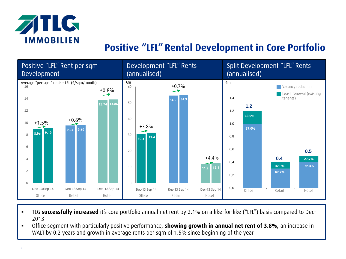

## **Positive "LFL" Rental Development in Core Portfolio**



- TLG **successfully increased** it's core portfolio annual net rent by 2.1% on a like-for-like ("LFL") basis compared to Dec-2013
- Office segment with particularly positive performance, **showing growth in annual net rent of 3.8%,** an increase in WALT by 0.2 years and growth in average rents per sqm of 1.5% since beginning of the year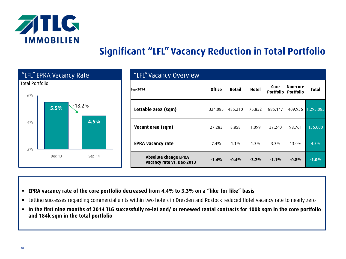

# **Significant "LFL" Vacancy Reduction in Total Portfolio**

|                                 | "LFL" EPRA Vacancy Rate |          | "LFL" Vacancy Overview                                   |               |         |         |         |                                 |              |
|---------------------------------|-------------------------|----------|----------------------------------------------------------|---------------|---------|---------|---------|---------------------------------|--------------|
| <b>Total Portfolio</b><br>$6\%$ |                         |          | Sep-2014                                                 | <b>Office</b> | Retail  | Hotel   | Core    | Non-core<br>Portfolio Portfolio | <b>Total</b> |
|                                 | 5.5%                    | $-18.2%$ | Lettable area (sqm)                                      | 324,085       | 485,210 | 75,852  | 885,147 | 409,936 1,295,083               |              |
| $4\%$                           |                         | 4.5%     | Vacant area (sqm)                                        | 27,283        | 8,858   | 1,099   | 37,240  | 98,761                          | 136,000      |
| $2\%$                           |                         |          | <b>EPRA vacancy rate</b>                                 | 7.4%          | $1.1\%$ | $1.3\%$ | $3.3\%$ | 13.0%                           | 4.5%         |
|                                 | $Dec-13$                | $Sep-14$ | <b>Absolute change EPRA</b><br>vacancy rate vs. Dec-2013 | $-1.4%$       | $-0.4%$ | $-3.2%$ | $-1.1%$ | $-0.8%$                         | $-1.0%$      |

- **EPRA vacancy rate of the core portfolio decreased from 4.4% to 3.3% on a "like-for-like" basis**
- Letting successes regarding commercial units within two hotels in Dresden and Rostock reduced Hotel vacancy rate to nearly zero
- **In the first nine months of 2014 TLG successfully re-let and/ or renewed rental contracts for 100k sqm in the core portfolio and 184k sqm in the total portfolio**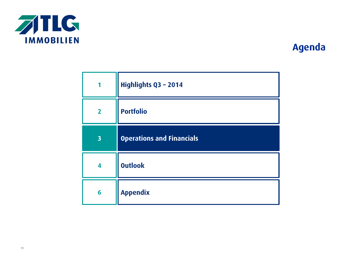

| 1                       | Highlights Q3 - 2014             |
|-------------------------|----------------------------------|
| $\overline{2}$          | <b>Portfolio</b>                 |
| $\overline{\mathbf{3}}$ | <b>Operations and Financials</b> |
| 4                       | <b>Outlook</b>                   |
| 6                       | <b>Appendix</b>                  |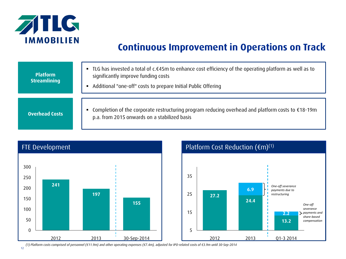

## **Continuous Improvement in Operations on Track**

| <b>Platform</b><br><b>Streamlining</b> | ■ TLG has invested a total of c.€45m to enhance cost efficiency of the operating platform as well as to<br>significantly improve funding costs<br>Additional "one-off" costs to prepare Initial Public Offering<br>٠ |
|----------------------------------------|----------------------------------------------------------------------------------------------------------------------------------------------------------------------------------------------------------------------|
| <b>Overhead Costs</b>                  | Completion of the corporate restructuring program reducing overhead and platform costs to €18-19m<br>٠<br>p.a. from 2015 onwards on a stabilized basis                                                               |





*(1) Platform costs comprised of personnel (€11.9m) and other operating expenses (€7.4m), adjusted for IPO-related costs of €3.9m until 30-Sep-2014*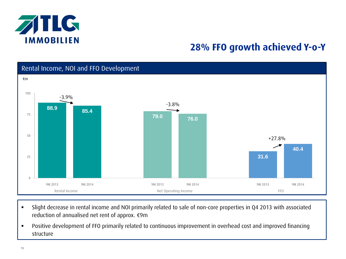

### **28% FFO growth achieved Y-o-Y**



- Slight decrease in rental income and NOI primarily related to sale of non-core properties in Q4 2013 with associated reduction of annualised net rent of approx. €9m
- Positive development of FFO primarily related to continuous improvement in overhead cost and improved financing structure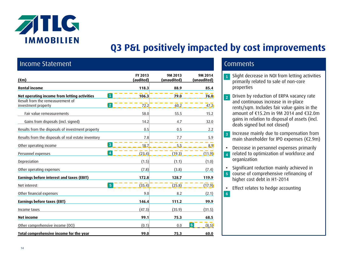

# **Q3 P&L positively impacted by cost improvements**

**6**

### Income Statement Comments and Comments and Comments

| $(\epsilon m)$                                                            | FY 2013<br>(audited) | 9M 2013<br>(unaudited) | 9M 2014<br>(unaudited)  |
|---------------------------------------------------------------------------|----------------------|------------------------|-------------------------|
| <b>Rental income</b>                                                      | 118.3                | 88.9                   | 85.4                    |
| 1<br>Net operating income from letting activities                         | 106.3                | 79.0                   | 76.0                    |
| Result from the remeasurement of<br>$\overline{2}$<br>investment property | 72.2                 | 60.2                   | 47.2                    |
| Fair value remeasurements                                                 | 58.0                 | 55.5                   | 15.2                    |
| Gains from disposals (incl. signed)                                       | 14.2                 | 4.7                    | 32.0                    |
| Results from the disposals of investment property                         | 0.5                  | 0.5                    | 2.2                     |
| Results from the disposals of real estate inventory                       | 7.8                  | 7.7                    | 5.9                     |
| $\overline{3}$<br>Other operating income                                  | 18.7                 | 5.5                    | 8.9                     |
| $\boldsymbol{4}$<br>Personnel expenses                                    | (23.4)               | (19.3)                 | (11.9)                  |
| Depreciation                                                              | (1.5)                | (1.1)                  | (1.0)                   |
| Other operating expenses                                                  | (7.8)                | (3.8)                  | (7.4)                   |
| Earnings before interest and taxes (EBIT)                                 | 172.8                | 128.7                  | 119.9                   |
| $\overline{5}$<br>Net interest                                            | (35.4)               | (25.8)                 | (17.9)                  |
| Other financial expenses                                                  | 9.0                  | 8.2                    | (2.1)                   |
| Earnings before taxes (EBT)                                               | 146.4                | 111.2                  | 99.9                    |
| Income taxes                                                              | (47.3)               | (35.9)                 | (31.5)                  |
| <b>Net income</b>                                                         | 99.1                 | 75.3                   | 68.5                    |
| Other comprehensive income (OCI)                                          | (0.1)                | 0.0                    | 6 <sup>1</sup><br>(8.5) |
| Total comprehensive income for the year                                   | 99.0                 | 75.3                   | 60.0                    |

- Slight decrease in NOI from letting activities primarily related to sale of non-core properties **1**
- Driven by reduction of ERPA vacancy rate and continuous increase in in-place rents/sqm. Includes fair value gains in the amount of €15.2m in 9M 2014 and €32.0m gains in relation to disposal of assets (incl. deals signed but not closed) **2**
- Increase mainly due to compensation from main shareholder for IPO expenses (€2.9m) **3**
- Decrease in personnel expenses primarily related to optimization of workforce and organization **4**
- Significant reduction mainly achieved in
- course of comprehensive refinancing of **5** higher cost debt in H1-2014
- Effect relates to hedge accounting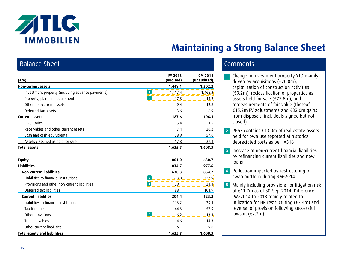

## **Maintaining a Strong Balance Sheet**

### Balance Sheet Comments and Comments and Comments and Comments

| $(\epsilon m)$                                   | FY 2013<br>(audited)             | 9M 2014<br>(unaudited) |
|--------------------------------------------------|----------------------------------|------------------------|
| <b>Non-current assets</b>                        | 1,448.1                          | 1,502.2                |
| Investment property (including advance payments) | 1<br>1,417.4                     | 1,468.3                |
| Property, plant and equipment                    | $\overline{2}$<br>17.8           | 14.2                   |
| Other non-current assets                         | 9.4                              | 12.8                   |
| Deferred tax assets                              | 3.6                              | 6.9                    |
| <b>Current assets</b>                            | 187.6                            | 106.1                  |
| Inventories                                      | 13.4                             | 1.5                    |
| Receivables and other current assets             | 17.4                             | 20.2                   |
| Cash and cash equivalents                        | 138.9                            | 57.0                   |
| Assets classified as held for sale               | 17.8                             | 27.4                   |
| <b>Total assets</b>                              | 1,635.7                          | 1,608.3                |
| <b>Equity</b>                                    | 801.0                            | 630.7                  |
| <b>Liabilities</b>                               | 834.7                            | 977.6                  |
| <b>Non-current liabilities</b>                   | 630.3                            | 854.2                  |
| Liabilities to financial institutions            | $\overline{\mathbf{3}}$<br>513.0 | 727.9                  |
| Provisions and other non-current liabilities     | $\overline{4}$<br>29.1           | 24.4                   |
| Deferred tax liabilities                         | 88.1                             | 101.9                  |
| <b>Current liabilities</b>                       | 204.4                            | 123.3                  |
| Liabilities to financial institutions            | 113.2                            | 29.1                   |
| <b>Tax liabilities</b>                           | 44.3                             | 57.9                   |
| Other provisions                                 | 5<br>16.2                        | 13.1                   |
| Trade payables                                   | 14.6                             | 14.3                   |
| Other current liabilities                        | 16.1                             | 9.0                    |
| <b>Total equity and liabilities</b>              | 1,635.7                          | 1,608.3                |

- Change in investment property YTD mainly driven by acquisitions (€70.0m), capitalization of construction activities (€9.2m), reclassification of properties as assets held for sale (€77.8m), and remeasurements of fair value (thereof €15.2m FV adjustments and €32.0m gains from disposals, incl. deals signed but not closed) **1**
- 2 PP&E contains €13.0m of real estate assets held for own use reported at historical depreciated costs as per IAS16
- Increase of non-current financial liabilities **3** by refinancing current liabilities and new loans
- Reduction impacted by restructuring of swap portfolio during 9M-2014 **4**
- Mainly including provisions for litigation risk **5** of €11.7m as of 30-Sep-2014. Difference 9M-2014 to 2013 mainly related to utilization for HR restructuring (€2.4m) and reversal of provision following successful lawsuit (€2.2m)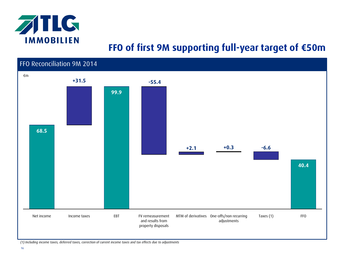

### **FFO of first 9M supporting full-year target of €50m**



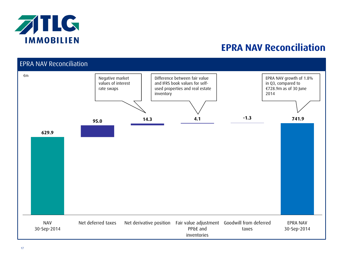

### **EPRA NAV Reconciliation**

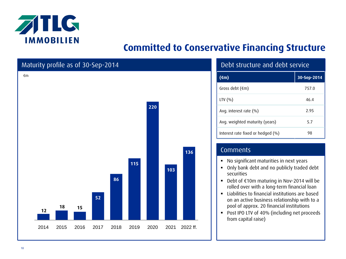

## **Committed to Conservative Financing Structure**



| $(\epsilon m)$                        | 30-Sep-2014 |
|---------------------------------------|-------------|
| Gross debt $(\epsilon m)$             | 757.0       |
| LTV $(%)$                             | 46.4        |
| Avg. interest rate $(\% )$            | 2.95        |
| Avg. weighted maturity (years)        | 5.7         |
| Interest rate fixed or hedged $(\% )$ | 98          |

### **Comments**

No significant maturities in next years

- Only bank debt and no publicly traded debt securities
- Debt of €10m maturing in Nov-2014 will be rolled over with a long-term financial loan
- **EXTENDITION** Liabilities to financial institutions are based on an active business relationship with to a pool of approx. 20 financial institutions
- **Post IPO LTV of 40% (including net proceeds** from capital raise)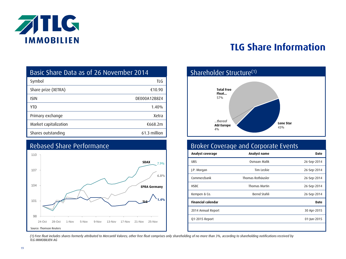

## **TLG Share Information**

| Basic Share Data as of 26 November 2014 |  |
|-----------------------------------------|--|
|-----------------------------------------|--|

| Symbol                | TLG          |
|-----------------------|--------------|
| Share prize (XETRA)   | €10.90       |
| <b>ISIN</b>           | DE000A12B8Z4 |
| YTD                   | 1.40%        |
| Primary exchange      | Xetra        |
| Market capitalization | €668.2m      |
| Shares outstanding    | 61.3 million |

### Rebased Share Performance





### Broker Coverage and Corporate Events

| Analyst coverage          | Analyst name         | <b>Date</b> |
|---------------------------|----------------------|-------------|
| <b>UBS</b>                | Osmaan Malik         | 26-Sep-2014 |
| J.P. Morgan               | Tim Leckie           | 26-Sep-2014 |
| Commerzbank               | Thomas Rothäusler    | 26-Sep-2014 |
| <b>HSBC</b>               | <b>Thomas Martin</b> | 26-Sep-2014 |
| Kempen & Co.              | Bernd Stahli         | 26-Sep-2014 |
| <b>Financial calendar</b> |                      | <b>Date</b> |
| 2014 Annual Report        |                      | 30 Apr-2015 |
| Q1-2015 Report            |                      | 01-Jun-2015 |
|                           |                      |             |

*(1) Free float includes shares formerly attributed to Mercantil Valores; other free float comprises only shareholding of no more than 3%, according to shareholding notifications received by TLG IMMOBILIEN AG*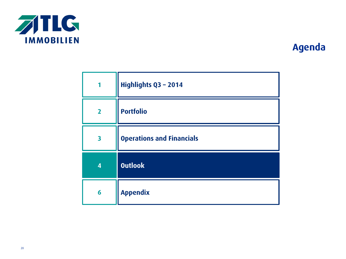

| 1                       | Highlights Q3 - 2014             |
|-------------------------|----------------------------------|
| $\overline{2}$          | <b>Portfolio</b>                 |
| $\overline{\mathbf{3}}$ | <b>Operations and Financials</b> |
| $\overline{\mathbf{4}}$ | <b>Outlook</b>                   |
| 6                       | <b>Appendix</b>                  |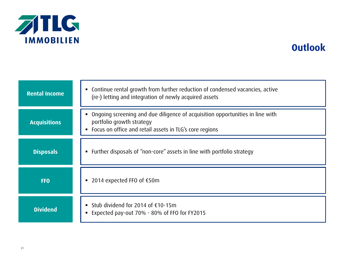

### **Outlook**

| <b>Rental Income</b> | • Continue rental growth from further reduction of condensed vacancies, active<br>(re-) letting and integration of newly acquired assets                                                |
|----------------------|-----------------------------------------------------------------------------------------------------------------------------------------------------------------------------------------|
| <b>Acquisitions</b>  | Ongoing screening and due diligence of acquisition opportunities in line with<br>portfolio growth strategy<br>Focus on office and retail assets in TLG's core regions<br>$\blacksquare$ |
| <b>Disposals</b>     | Further disposals of "non-core" assets in line with portfolio strategy                                                                                                                  |
| <b>FFO</b>           | ■ 2014 expected FFO of $€50m$                                                                                                                                                           |
| <b>Dividend</b>      | ■ Stub dividend for 2014 of $€10-15m$<br>Expected pay-out 70% - 80% of FFO for FY2015                                                                                                   |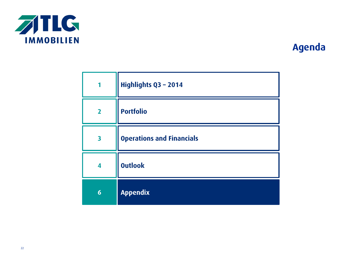

| 1                       | Highlights Q3 - 2014             |
|-------------------------|----------------------------------|
| $\overline{2}$          | <b>Portfolio</b>                 |
| $\overline{\mathbf{3}}$ | <b>Operations and Financials</b> |
| 4                       | <b>Outlook</b>                   |
| $6\phantom{1}6$         | <b>Appendix</b>                  |